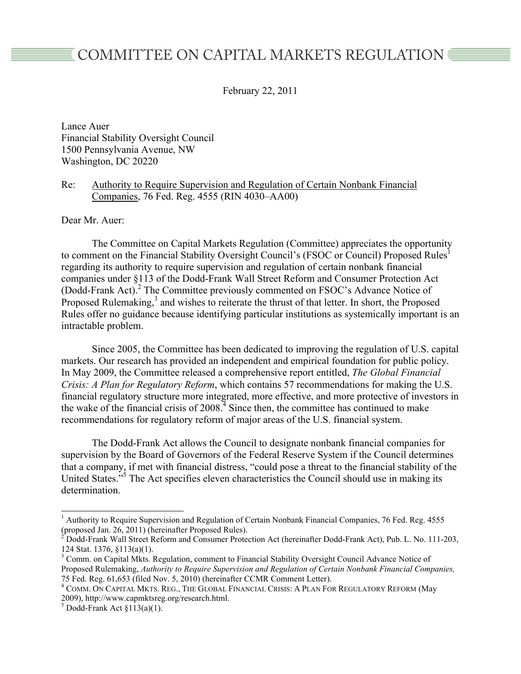# COMMITTEE ON CAPITAL MARKETS REGULATION ■

February 22, 2011

Lance Auer Financial Stability Oversight Council 1500 Pennsylvania Avenue, NW Washington, DC 20220

## Re: Authority to Require Supervision and Regulation of Certain Nonbank Financial Companies, 76 Fed. Reg. 4555 (RIN 4030–AA00)

Dear Mr. Auer:

The Committee on Capital Markets Regulation (Committee) appreciates the opportunity to comment on the Financial Stability Oversight Council's (FSOC or Council) Proposed Rules<sup>1</sup> regarding its authority to require supervision and regulation of certain nonbank financial companies under §113 of the Dodd-Frank Wall Street Reform and Consumer Protection Act (Dodd-Frank Act).<sup>2</sup> The Committee previously commented on FSOC's Advance Notice of Proposed Rulemaking,<sup>3</sup> and wishes to reiterate the thrust of that letter. In short, the Proposed Rules offer no guidance because identifying particular institutions as systemically important is an intractable problem.

Since 2005, the Committee has been dedicated to improving the regulation of U.S. capital markets. Our research has provided an independent and empirical foundation for public policy. In May 2009, the Committee released a comprehensive report entitled, *The Global Financial Crisis: A Plan for Regulatory Reform*, which contains 57 recommendations for making the U.S. financial regulatory structure more integrated, more effective, and more protective of investors in the wake of the financial crisis of  $2008<sup>4</sup>$  Since then, the committee has continued to make recommendations for regulatory reform of major areas of the U.S. financial system.

The Dodd-Frank Act allows the Council to designate nonbank financial companies for supervision by the Board of Governors of the Federal Reserve System if the Council determines that a company, if met with financial distress, "could pose a threat to the financial stability of the United States.<sup>55</sup> The Act specifies eleven characteristics the Council should use in making its determination.

 <sup>1</sup> <sup>1</sup> Authority to Require Supervision and Regulation of Certain Nonbank Financial Companies, 76 Fed. Reg. 4555 (proposed Jan. 26, 2011) (hereinafter Proposed Rules).<br><sup>2</sup> Dodd-Frank Wall Street Reform and Consumer Protection Act (hereinafter Dodd-Frank Act), Pub. L. No. 111-203,

<sup>124</sup> Stat. 1376, §113(a)(1).

<sup>&</sup>lt;sup>3</sup> Comm. on Capital Mkts. Regulation, comment to Financial Stability Oversight Council Advance Notice of Proposed Rulemaking, *Authority to Require Supervision and Regulation of Certain Nonbank Financial Companies,* 75 Fed. Reg. 61,653 (filed Nov. 5, 2010) (hereinafter CCMR Comment Letter).

<sup>4</sup> COMM. ON CAPITAL MKTS. REG., THE GLOBAL FINANCIAL CRISIS: A PLAN FOR REGULATORY REFORM (May 2009), http://www.capmktsreg.org/research.html. <sup>5</sup>

 $5$  Dodd-Frank Act  $\S 113(a)(1)$ .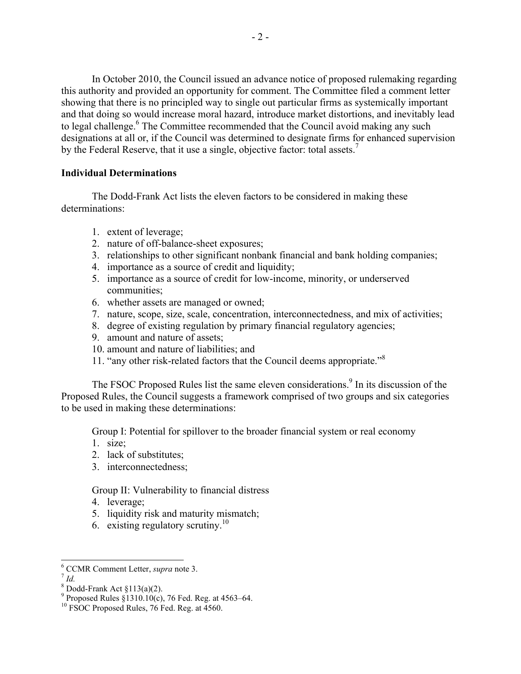In October 2010, the Council issued an advance notice of proposed rulemaking regarding this authority and provided an opportunity for comment. The Committee filed a comment letter showing that there is no principled way to single out particular firms as systemically important and that doing so would increase moral hazard, introduce market distortions, and inevitably lead to legal challenge.<sup>6</sup> The Committee recommended that the Council avoid making any such designations at all or, if the Council was determined to designate firms for enhanced supervision by the Federal Reserve, that it use a single, objective factor: total assets.<sup>7</sup>

# **Individual Determinations**

The Dodd-Frank Act lists the eleven factors to be considered in making these determinations:

- 1. extent of leverage;
- 2. nature of off-balance-sheet exposures;
- 3. relationships to other significant nonbank financial and bank holding companies;
- 4. importance as a source of credit and liquidity;
- 5. importance as a source of credit for low-income, minority, or underserved communities;
- 6. whether assets are managed or owned;
- 7. nature, scope, size, scale, concentration, interconnectedness, and mix of activities;
- 8. degree of existing regulation by primary financial regulatory agencies;
- 9. amount and nature of assets;
- 10. amount and nature of liabilities; and
- 11. "any other risk-related factors that the Council deems appropriate."<sup>8</sup>

The FSOC Proposed Rules list the same eleven considerations.<sup>9</sup> In its discussion of the Proposed Rules, the Council suggests a framework comprised of two groups and six categories to be used in making these determinations:

Group I: Potential for spillover to the broader financial system or real economy

- 1. size;
- 2. lack of substitutes;
- 3. interconnectedness;

## Group II: Vulnerability to financial distress

- 4. leverage;
- 5. liquidity risk and maturity mismatch;
- 6. existing regulatory scrutiny.<sup>10</sup>

 <sup>6</sup> CCMR Comment Letter, *supra* note 3. <sup>7</sup> *Id.*

 $\frac{8}{9}$  Dodd-Frank Act  $\frac{8113(a)(2)}{10(a)}$ 

Proposed Rules §1310.10(c), 76 Fed. Reg. at 4563–64.<br><sup>10</sup> FSOC Proposed Rules, 76 Fed. Reg. at 4560.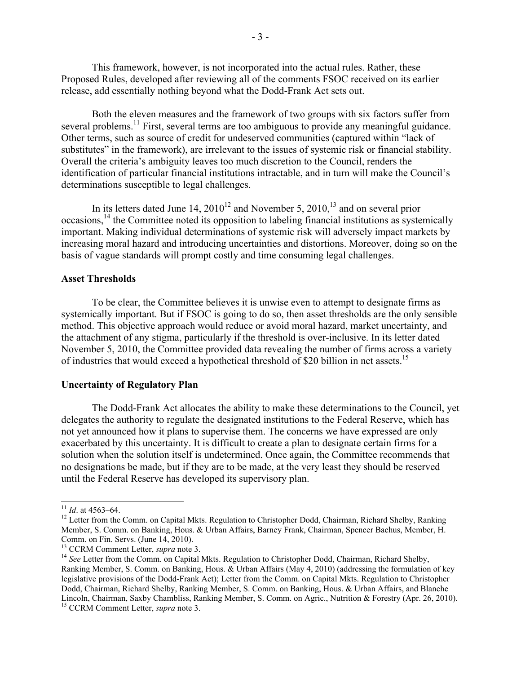This framework, however, is not incorporated into the actual rules. Rather, these Proposed Rules, developed after reviewing all of the comments FSOC received on its earlier release, add essentially nothing beyond what the Dodd-Frank Act sets out.

Both the eleven measures and the framework of two groups with six factors suffer from several problems.<sup>11</sup> First, several terms are too ambiguous to provide any meaningful guidance. Other terms, such as source of credit for undeserved communities (captured within "lack of substitutes" in the framework), are irrelevant to the issues of systemic risk or financial stability. Overall the criteria's ambiguity leaves too much discretion to the Council, renders the identification of particular financial institutions intractable, and in turn will make the Council's determinations susceptible to legal challenges.

In its letters dated June 14,  $2010^{12}$  and November 5,  $2010$ ,<sup>13</sup> and on several prior occasions,14 the Committee noted its opposition to labeling financial institutions as systemically important. Making individual determinations of systemic risk will adversely impact markets by increasing moral hazard and introducing uncertainties and distortions. Moreover, doing so on the basis of vague standards will prompt costly and time consuming legal challenges.

### **Asset Thresholds**

To be clear, the Committee believes it is unwise even to attempt to designate firms as systemically important. But if FSOC is going to do so, then asset thresholds are the only sensible method. This objective approach would reduce or avoid moral hazard, market uncertainty, and the attachment of any stigma, particularly if the threshold is over-inclusive. In its letter dated November 5, 2010, the Committee provided data revealing the number of firms across a variety of industries that would exceed a hypothetical threshold of \$20 billion in net assets.<sup>15</sup>

#### **Uncertainty of Regulatory Plan**

The Dodd-Frank Act allocates the ability to make these determinations to the Council, yet delegates the authority to regulate the designated institutions to the Federal Reserve, which has not yet announced how it plans to supervise them. The concerns we have expressed are only exacerbated by this uncertainty. It is difficult to create a plan to designate certain firms for a solution when the solution itself is undetermined. Once again, the Committee recommends that no designations be made, but if they are to be made, at the very least they should be reserved until the Federal Reserve has developed its supervisory plan.

<sup>&</sup>lt;sup>11</sup> *Id.* at 4563–64.<br><sup>12</sup> Letter from the Comm. on Capital Mkts. Regulation to Christopher Dodd, Chairman, Richard Shelby, Ranking Member, S. Comm. on Banking, Hous. & Urban Affairs, Barney Frank, Chairman, Spencer Bachus, Member, H. Comm. on Fin. Servs. (June 14, 2010).<br><sup>13</sup> CCRM Comment Letter, *supra* note 3.

<sup>&</sup>lt;sup>14</sup> See Letter from the Comm. on Capital Mkts. Regulation to Christopher Dodd, Chairman, Richard Shelby, Ranking Member, S. Comm. on Banking, Hous. & Urban Affairs (May 4, 2010) (addressing the formulation of key legislative provisions of the Dodd-Frank Act); Letter from the Comm. on Capital Mkts. Regulation to Christopher Dodd, Chairman, Richard Shelby, Ranking Member, S. Comm. on Banking, Hous. & Urban Affairs, and Blanche Lincoln, Chairman, Saxby Chambliss, Ranking Member, S. Comm. on Agric., Nutrition & Forestry (Apr. 26, 2010). 15 CCRM Comment Letter, *supra* note 3.